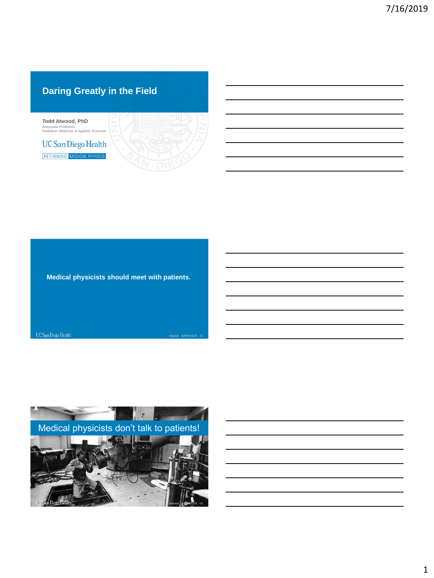# **Daring Greatly in the Field**



**Medical physicists should meet with patients.**

UC San Diego Health Atwood / AAPM 2019 / #2

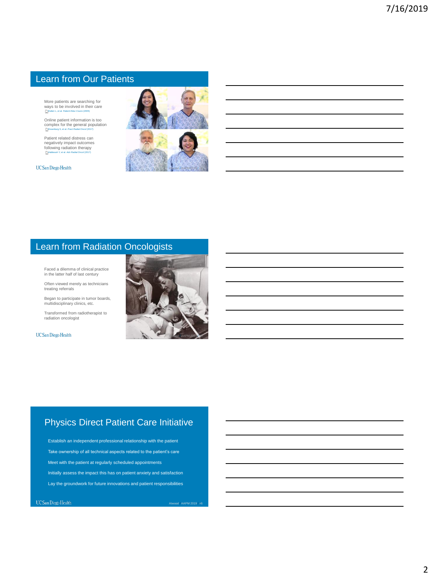### Learn from Our Patients

More patients are searching for<br>ways to be involved in their care<br>*Rutten L, et al. Patient Educ Couns* (2005)

Online patient information is too complex for the general population Rosenburg S, et al. *Pract Radiat Oncol* (2017)

Patient related distress can negatively impact outcomes following radiation therapy Habboush Y, et al. *Adv Radiat Oncol* (2017)

UC San Diego Health



# Learn from Radiation Oncologists

Faced a dilemma of clinical practice in the latter half of last century

Often viewed merely as technicians treating referrals

Began to participate in tumor boards, multidisciplinary clinics, etc.

Transformed from radiotherapist to radiation oncologist

UC San Diego Health



# Physics Direct Patient Care Initiative

Establish an independent professional relationship with the patient Take ownership of all technical aspects related to the patient's care Meet with the patient at regularly scheduled appointments Initially assess the impact this has on patient anxiety and satisfaction Lay the groundwork for future innovations and patient responsibilities

Atwood / AAPM 2019 / #6